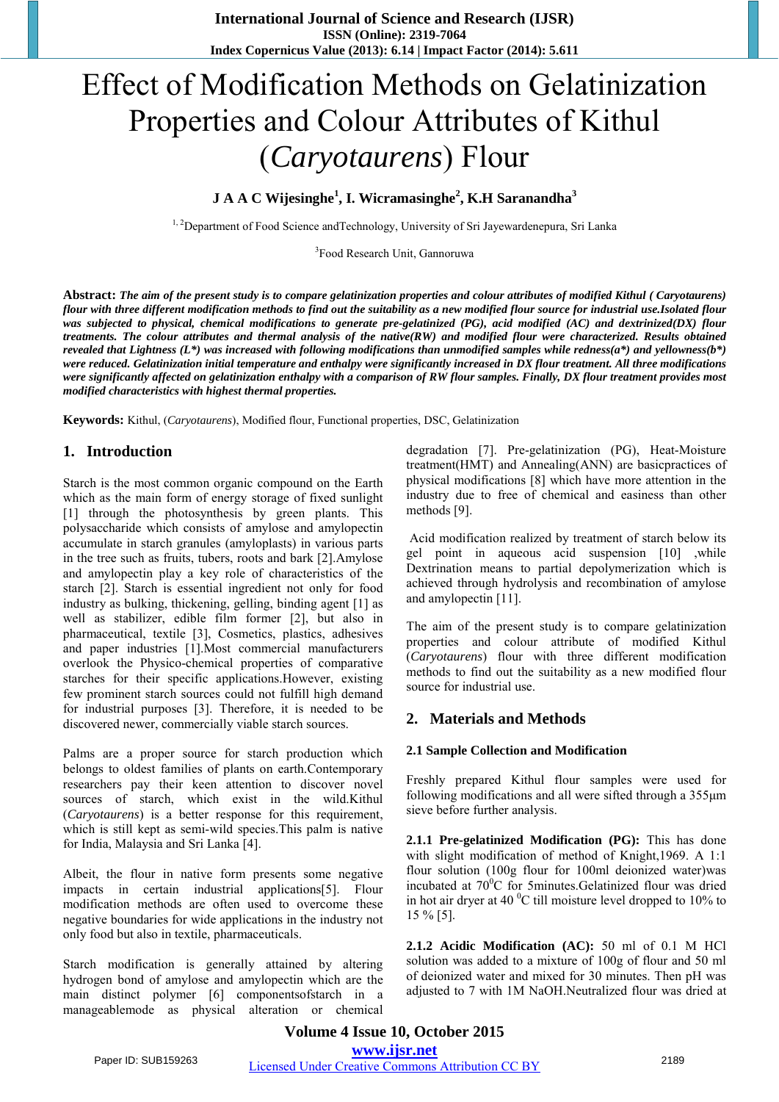# Effect of Modification Methods on Gelatinization Properties and Colour Attributes of Kithul (*Caryotaurens*) Flour

**J A A C Wijesinghe<sup>1</sup> , I. Wicramasinghe<sup>2</sup> , K.H Saranandha<sup>3</sup>**

<sup>1, 2</sup>Department of Food Science andTechnology, University of Sri Jayewardenepura, Sri Lanka

3 Food Research Unit, Gannoruwa

**Abstract:** *The aim of the present study is to compare gelatinization properties and colour attributes of modified Kithul ( Caryotaurens) flour with three different modification methods to find out the suitability as a new modified flour source for industrial use.Isolated flour*  was subjected to physical, chemical modifications to generate pre-gelatinized (PG), acid modified (AC) and dextrinized(DX) flour *treatments. The colour attributes and thermal analysis of the native(RW) and modified flour were characterized. Results obtained revealed that Lightness (L\*) was increased with following modifications than unmodified samples while redness(a\*) and yellowness(b\*) were reduced. Gelatinization initial temperature and enthalpy were significantly increased in DX flour treatment. All three modifications were significantly affected on gelatinization enthalpy with a comparison of RW flour samples. Finally, DX flour treatment provides most modified characteristics with highest thermal properties.*

**Keywords:** Kithul, (*Caryotaurens*), Modified flour, Functional properties, DSC, Gelatinization

## **1. Introduction**

Starch is the most common organic compound on the Earth which as the main form of energy storage of fixed sunlight [1] through the photosynthesis by green plants. This polysaccharide which consists of amylose and amylopectin accumulate in starch granules (amyloplasts) in various parts in the tree such as fruits, tubers, roots and bark [2].Amylose and amylopectin play a key role of characteristics of the starch [2]. Starch is essential ingredient not only for food industry as bulking, thickening, gelling, binding agent [1] as well as stabilizer, edible film former [2], but also in pharmaceutical, textile [3], Cosmetics, plastics, adhesives and paper industries [1].Most commercial manufacturers overlook the Physico-chemical properties of comparative starches for their specific applications.However, existing few prominent starch sources could not fulfill high demand for industrial purposes [3]. Therefore, it is needed to be discovered newer, commercially viable starch sources.

Palms are a proper source for starch production which belongs to oldest families of plants on earth.Contemporary researchers pay their keen attention to discover novel sources of starch, which exist in the wild.Kithul (*Caryotaurens*) is a better response for this requirement, which is still kept as semi-wild species.This palm is native for India, Malaysia and Sri Lanka [4].

Albeit, the flour in native form presents some negative impacts in certain industrial applications[5]. Flour modification methods are often used to overcome these negative boundaries for wide applications in the industry not only food but also in textile, pharmaceuticals.

Starch modification is generally attained by altering hydrogen bond of amylose and amylopectin which are the main distinct polymer [6] componentsofstarch in a manageablemode as physical alteration or chemical degradation [7]. Pre-gelatinization (PG), Heat-Moisture treatment(HMT) and Annealing(ANN) are basicpractices of physical modifications [8] which have more attention in the industry due to free of chemical and easiness than other methods [9].

 Acid modification realized by treatment of starch below its gel point in aqueous acid suspension [10] ,while Dextrination means to partial depolymerization which is achieved through hydrolysis and recombination of amylose and amylopectin [11].

The aim of the present study is to compare gelatinization properties and colour attribute of modified Kithul (*Caryotaurens*) flour with three different modification methods to find out the suitability as a new modified flour source for industrial use.

## **2. Materials and Methods**

#### **2.1 Sample Collection and Modification**

Freshly prepared Kithul flour samples were used for following modifications and all were sifted through a 355μm sieve before further analysis.

**2.1.1 Pre-gelatinized Modification (PG):** This has done with slight modification of method of Knight,1969. A 1:1 flour solution (100g flour for 100ml deionized water)was incubated at  $70^{\circ}$ C for 5minutes. Gelatinized flour was dried in hot air dryer at 40 $\mathrm{^{0}C}$  till moisture level dropped to 10% to 15 % [5].

**2.1.2 Acidic Modification (AC):** 50 ml of 0.1 M HCl solution was added to a mixture of 100g of flour and 50 ml of deionized water and mixed for 30 minutes. Then pH was adjusted to 7 with 1M NaOH.Neutralized flour was dried at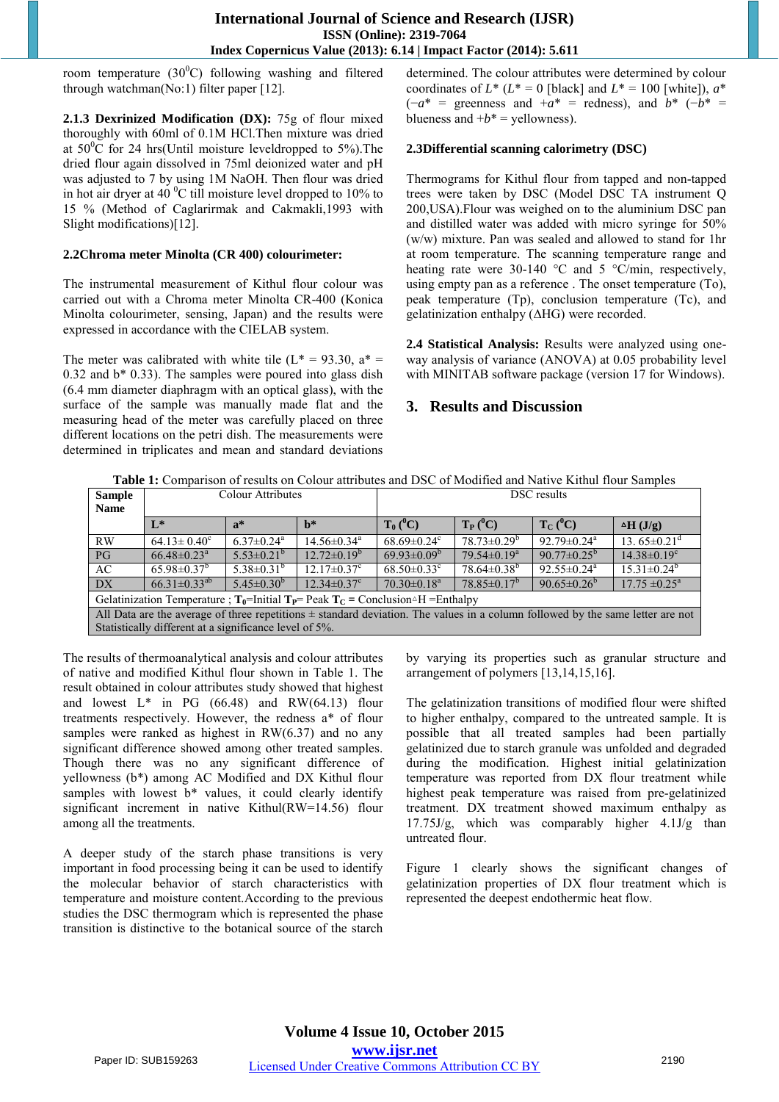room temperature  $(30^0C)$  following washing and filtered through watchman(No:1) filter paper [12].

**2.1.3 Dexrinized Modification (DX):** 75g of flour mixed thoroughly with 60ml of 0.1M HCl.Then mixture was dried at  $50^{\circ}$ C for 24 hrs(Until moisture leveldropped to 5%). The dried flour again dissolved in 75ml deionized water and pH was adjusted to 7 by using 1M NaOH. Then flour was dried in hot air dryer at 40 $\mathrm{^{0}C}$  till moisture level dropped to 10% to 15 % (Method of Caglarirmak and Cakmakli,1993 with Slight modifications)[12].

#### **2.2Chroma meter Minolta (CR 400) colourimeter:**

The instrumental measurement of Kithul flour colour was carried out with a Chroma meter Minolta CR-400 (Konica Minolta colourimeter, sensing, Japan) and the results were expressed in accordance with the CIELAB system.

The meter was calibrated with white tile  $(L^* = 93.30, a^* =$ 0.32 and b\* 0.33). The samples were poured into glass dish (6.4 mm diameter diaphragm with an optical glass), with the surface of the sample was manually made flat and the measuring head of the meter was carefully placed on three different locations on the petri dish. The measurements were determined in triplicates and mean and standard deviations determined. The colour attributes were determined by colour coordinates of  $L^*$  ( $L^* = 0$  [black] and  $L^* = 100$  [white]),  $a^*$  $(-a^*)$  = greenness and  $+a^*$  = redness), and  $b^*$  (− $b^*$  = blueness and  $+b^*$  = yellowness).

#### **2.3Differential scanning calorimetry (DSC)**

Thermograms for Kithul flour from tapped and non-tapped trees were taken by DSC (Model DSC TA instrument Q 200,USA).Flour was weighed on to the aluminium DSC pan and distilled water was added with micro syringe for 50% (w/w) mixture. Pan was sealed and allowed to stand for 1hr at room temperature. The scanning temperature range and heating rate were 30-140 °C and 5 °C/min, respectively, using empty pan as a reference . The onset temperature (To), peak temperature (Tp), conclusion temperature (Tc), and gelatinization enthalpy (ΔHG) were recorded.

**2.4 Statistical Analysis:** Results were analyzed using oneway analysis of variance (ANOVA) at 0.05 probability level with MINITAB software package (version 17 for Windows).

## **3. Results and Discussion**

**Table 1:** Comparison of results on Colour attributes and DSC of Modified and Native Kithul flour Samples

| <b>Sample</b>                                                                                                                      | Colour Attributes             |                              |                               | DSC results                   |                    |                               |                               |
|------------------------------------------------------------------------------------------------------------------------------------|-------------------------------|------------------------------|-------------------------------|-------------------------------|--------------------|-------------------------------|-------------------------------|
| <b>Name</b>                                                                                                                        |                               |                              |                               |                               |                    |                               |                               |
|                                                                                                                                    | $L^*$                         | $a^*$                        | $h^*$                         | $T_0(^0C)$                    | $T_{P} (^{0}C)$    | $T_{C}$ ( <sup>0</sup> C)     | $\Delta H$ (J/g)              |
| RW                                                                                                                                 | $64.13 \pm 0.40^{\circ}$      | $6.37 \pm 0.24$ <sup>a</sup> | $14.56 \pm 0.34$ <sup>a</sup> | $68.69 \pm 0.24$ <sup>c</sup> | $78.73 \pm 0.29^b$ | $92.79 \pm 0.24$ <sup>a</sup> | 13.65 $\pm$ 0.21 <sup>d</sup> |
| PG                                                                                                                                 | $66.48 \pm 0.23$ <sup>a</sup> | $5.53 \pm 0.21^b$            | $12.72 \pm 0.19^b$            | $69.93 \pm 0.09^{\rm b}$      | $79.54 \pm 0.19^a$ | 90.77 $\pm$ 0.25 <sup>b</sup> | $14.38 \pm 0.19$ <sup>c</sup> |
| AC                                                                                                                                 | $65.98 \pm 0.37^b$            | $5.38 \pm 0.31^b$            | $12.17 \pm 0.37$ °            | $68.50 \pm 0.33$ <sup>c</sup> | $78.64 \pm 0.38^b$ | $92.55 \pm 0.24$ <sup>a</sup> | $15.31 \pm 0.24^b$            |
| DX                                                                                                                                 | $66.31 \pm 0.33^{ab}$         | $5.45 \pm 0.30^b$            | $12.34 \pm 0.37$ °            | $70.30 \pm 0.18$ <sup>a</sup> | $78.85 \pm 0.17^b$ | 90.65 $\pm$ 0.26 <sup>b</sup> | $17.75 \pm 0.25^{\text{a}}$   |
| Gelatinization Temperature ; $T_0$ =Initial $T_P$ = Peak $T_C$ = Conclusion AH = Enthalpy                                          |                               |                              |                               |                               |                    |                               |                               |
| All Data are the average of three repetitions $\pm$ standard deviation. The values in a column followed by the same letter are not |                               |                              |                               |                               |                    |                               |                               |
| Statistically different at a significance level of 5%.                                                                             |                               |                              |                               |                               |                    |                               |                               |

The results of thermoanalytical analysis and colour attributes of native and modified Kithul flour shown in Table 1. The result obtained in colour attributes study showed that highest and lowest  $L^*$  in PG (66.48) and RW(64.13) flour treatments respectively. However, the redness a\* of flour samples were ranked as highest in  $RW(6.37)$  and no any significant difference showed among other treated samples. Though there was no any significant difference of yellowness (b\*) among AC Modified and DX Kithul flour samples with lowest b\* values, it could clearly identify significant increment in native Kithul(RW=14.56) flour among all the treatments.

A deeper study of the starch phase transitions is very important in food processing being it can be used to identify the molecular behavior of starch characteristics with temperature and moisture content.According to the previous studies the DSC thermogram which is represented the phase transition is distinctive to the botanical source of the starch by varying its properties such as granular structure and arrangement of polymers [13,14,15,16].

The gelatinization transitions of modified flour were shifted to higher enthalpy, compared to the untreated sample. It is possible that all treated samples had been partially gelatinized due to starch granule was unfolded and degraded during the modification. Highest initial gelatinization temperature was reported from DX flour treatment while highest peak temperature was raised from pre-gelatinized treatment. DX treatment showed maximum enthalpy as 17.75J/g, which was comparably higher 4.1J/g than untreated flour.

Figure 1 clearly shows the significant changes of gelatinization properties of DX flour treatment which is represented the deepest endothermic heat flow.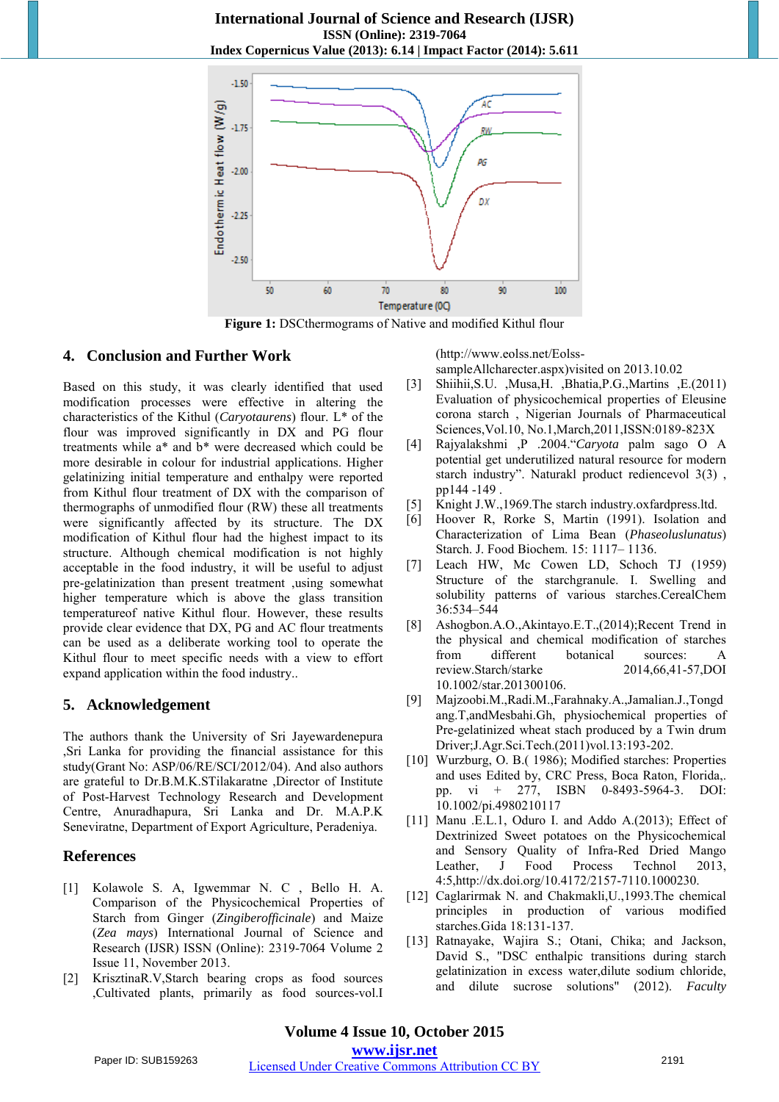

Figure 1: DSCthermograms of Native and modified Kithul flour

## **4. Conclusion and Further Work**

Based on this study, it was clearly identified that used modification processes were effective in altering the characteristics of the Kithul (*Caryotaurens*) flour. L\* of the flour was improved significantly in DX and PG flour treatments while a\* and b\* were decreased which could be more desirable in colour for industrial applications. Higher gelatinizing initial temperature and enthalpy were reported from Kithul flour treatment of DX with the comparison of thermographs of unmodified flour (RW) these all treatments were significantly affected by its structure. The DX modification of Kithul flour had the highest impact to its structure. Although chemical modification is not highly acceptable in the food industry, it will be useful to adjust pre-gelatinization than present treatment ,using somewhat higher temperature which is above the glass transition temperatureof native Kithul flour. However, these results provide clear evidence that DX, PG and AC flour treatments can be used as a deliberate working tool to operate the Kithul flour to meet specific needs with a view to effort expand application within the food industry..

## **5. Acknowledgement**

The authors thank the University of Sri Jayewardenepura ,Sri Lanka for providing the financial assistance for this study(Grant No: ASP/06/RE/SCI/2012/04). And also authors are grateful to Dr.B.M.K.STilakaratne ,Director of Institute of Post-Harvest Technology Research and Development Centre, Anuradhapura, Sri Lanka and Dr. M.A.P.K Seneviratne, Department of Export Agriculture, Peradeniya.

# **References**

- [1] Kolawole S. A, Igwemmar N. C , Bello H. A. Comparison of the Physicochemical Properties of Starch from Ginger (*Zingiberofficinale*) and Maize (*Zea mays*) International Journal of Science and Research (IJSR) ISSN (Online): 2319-7064 Volume 2 Issue 11, November 2013.
- [2] KrisztinaR.V,Starch bearing crops as food sources ,Cultivated plants, primarily as food sources-vol.I

(http://www.eolss.net/Eolss-

sampleAllcharecter.aspx)visited on 2013.10.02

- [3] Shiihii,S.U. ,Musa,H. ,Bhatia,P.G.,Martins ,E.(2011) Evaluation of physicochemical properties of Eleusine corona starch , Nigerian Journals of Pharmaceutical Sciences,Vol.10, No.1,March,2011,ISSN:0189-823X
- [4] Rajyalakshmi ,P .2004."*Caryota* palm sago O A potential get underutilized natural resource for modern starch industry". Naturakl product rediencevol 3(3) , pp144 -149 .
- [5] Knight J.W.,1969.The starch industry.oxfardpress.ltd.
- [6] Hoover R, Rorke S, Martin (1991). Isolation and Characterization of Lima Bean (*Phaseoluslunatus*) Starch. J. Food Biochem. 15: 1117– 1136.
- [7] Leach HW, Mc Cowen LD, Schoch TJ (1959) Structure of the starchgranule. I. Swelling and solubility patterns of various starches.CerealChem 36:534–544
- [8] Ashogbon.A.O.,Akintayo.E.T.,(2014);Recent Trend in the physical and chemical modification of starches from different botanical sources: A review.Starch/starke 2014,66,41-57,DOI 10.1002/star.201300106.
- [9] Majzoobi.M.,Radi.M.,Farahnaky.A.,Jamalian.J.,Tongd ang.T,andMesbahi.Gh, physiochemical properties of Pre-gelatinized wheat stach produced by a Twin drum Driver;J.Agr.Sci.Tech.(2011)vol.13:193-202.
- [10] Wurzburg, O. B.(1986); Modified starches: Properties and uses Edited by, CRC Press, Boca Raton, Florida,. pp. vi + 277, ISBN 0-8493-5964-3. DOI: 10.1002/pi.4980210117
- [11] Manu .E.L.1, Oduro I. and Addo A.(2013); Effect of Dextrinized Sweet potatoes on the Physicochemical and Sensory Quality of Infra-Red Dried Mango Leather, J Food Process Technol 2013, 4:5,http://dx.doi.org/10.4172/2157-7110.1000230.
- [12] Caglarirmak N. and Chakmakli, U., 1993. The chemical principles in production of various modified starches.Gida 18:131-137.
- [13] Ratnayake, Wajira S.; Otani, Chika; and Jackson, David S., "DSC enthalpic transitions during starch gelatinization in excess water,dilute sodium chloride, and dilute sucrose solutions" (2012). *Faculty*